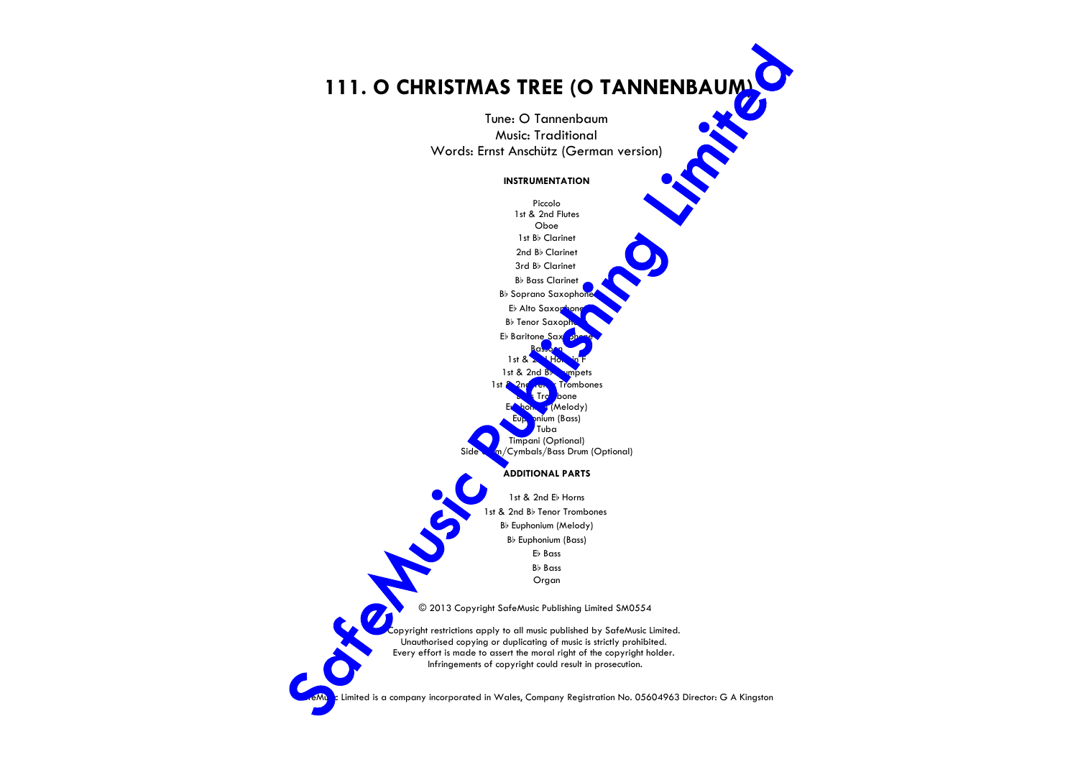